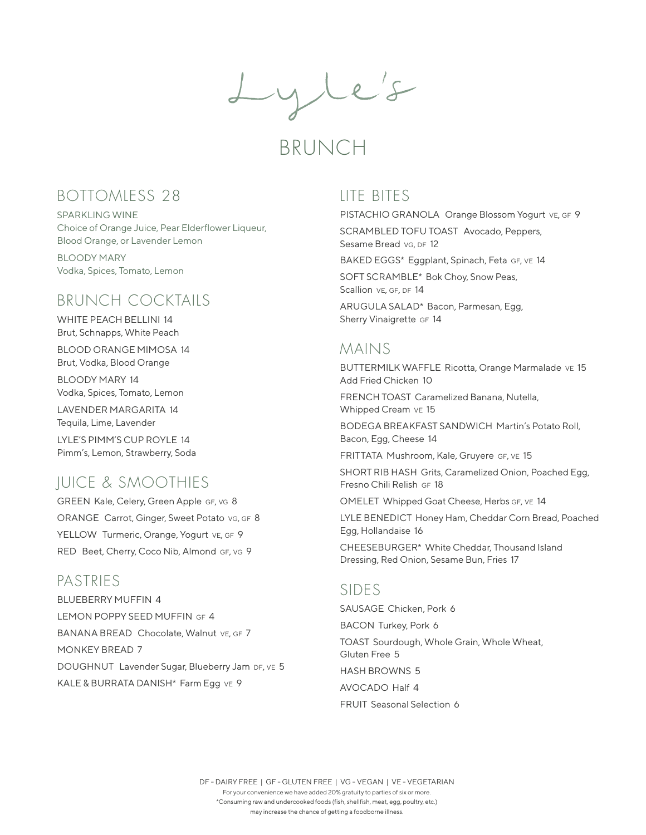Lyle's

# BRUNCH

# BOTTOMLESS 28

SPARKLING WINE Choice of Orange Juice, Pear Elderflower Liqueur, Blood Orange, or Lavender Lemon

BLOODY MARY Vodka, Spices, Tomato, Lemon

# BRUNCH COCKTAILS

WHITE PEACH BELLINI 14 Brut, Schnapps, White Peach

BLOOD ORANGE MIMOSA 14 Brut, Vodka, Blood Orange

BLOODY MARY 14 Vodka, Spices, Tomato, Lemon

LAVENDER MARGARITA 14 Tequila, Lime, Lavender

LYLE'S PIMM'S CUP ROYLE 14 Pimm's, Lemon, Strawberry, Soda

# JUICE & SMOOTHIES

GREEN Kale, Celery, Green Apple GF, VG 8 ORANGE Carrot, Ginger, Sweet Potato vg, GF 8 YELLOW Turmeric, Orange, Yogurt VE, GF 9 RED Beet, Cherry, Coco Nib, Almond GF, VG 9

## PASTRIES

BLUEBERRY MUFFIN 4 LEMON POPPY SEED MUFFIN gf 4 BANANA BREAD Chocolate, Walnut VE, GF 7 MONKEY BREAD 7 DOUGHNUT Lavender Sugar, Blueberry Jam DF, VE 5 KALE & BURRATA DANISH\* Farm Egg VE 9

# LITE BITES

PISTACHIO GRANOLA Orange Blossom Yogurt ve, GF 9 SCRAMBLED TOFU TOAST Avocado, Peppers, Sesame Bread vg, DF 12

BAKED EGGS\* Eggplant, Spinach, Feta GF, VE 14 SOFT SCRAMBLE\* Bok Choy, Snow Peas, Scallion VE, GF, DF 14

ARUGULA SALAD\* Bacon, Parmesan, Egg, Sherry Vinaigrette GF 14

### MAINS

BUTTERMILK WAFFLE Ricotta, Orange Marmalade ve 15 Add Fried Chicken 10

FRENCH TOAST Caramelized Banana, Nutella, Whipped Cream ve 15

BODEGA BREAKFAST SANDWICH Martin's Potato Roll, Bacon, Egg, Cheese 14

FRITTATA Mushroom, Kale, Gruyere GF, VE 15

SHORT RIB HASH Grits, Caramelized Onion, Poached Egg, Fresno Chili Relish GF 18

OMELET Whipped Goat Cheese, Herbs GF, VE 14

LYLE BENEDICT Honey Ham, Cheddar Corn Bread, Poached Egg, Hollandaise 16

CHEESEBURGER\* White Cheddar, Thousand Island Dressing, Red Onion, Sesame Bun, Fries 17

### SIDES

SAUSAGE Chicken, Pork 6 BACON Turkey, Pork 6 TOAST Sourdough, Whole Grain, Whole Wheat, Gluten Free 5 HASH BROWNS 5 AVOCADO Half 4 FRUIT Seasonal Selection 6

DF - DAIRY FREE | GF - GLUTEN FREE | VG - VEGAN | VE - VEGETARIAN For your convenience we have added 20% gratuity to parties of six or more. \*Consuming raw and undercooked foods (fish, shellfish, meat, egg, poultry, etc.) may increase the chance of getting a foodborne illness.